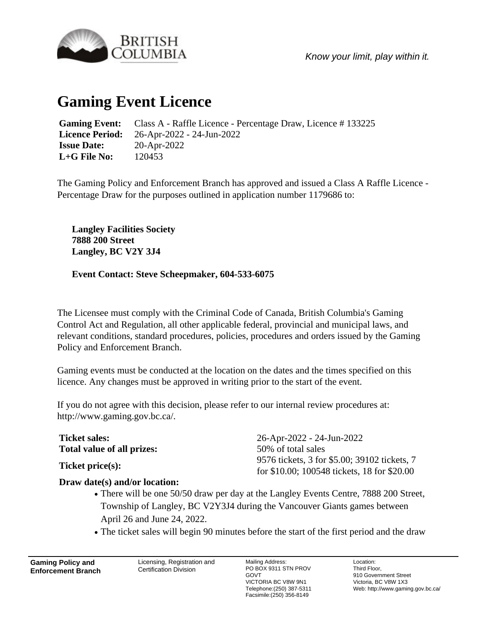

*Know your limit, play within it.*

## **Gaming Event Licence**

**Gaming Event:** Class A - Raffle Licence - Percentage Draw, Licence # 133225 **Licence Period:** 26-Apr-2022 - 24-Jun-2022 **Issue Date:** 20-Apr-2022 **L+G File No:** 120453

The Gaming Policy and Enforcement Branch has approved and issued a Class A Raffle Licence - Percentage Draw for the purposes outlined in application number 1179686 to:

**Langley Facilities Society 7888 200 Street Langley, BC V2Y 3J4**

## **Event Contact: Steve Scheepmaker, 604-533-6075**

The Licensee must comply with the Criminal Code of Canada, British Columbia's Gaming Control Act and Regulation, all other applicable federal, provincial and municipal laws, and relevant conditions, standard procedures, policies, procedures and orders issued by the Gaming Policy and Enforcement Branch.

Gaming events must be conducted at the location on the dates and the times specified on this licence. Any changes must be approved in writing prior to the start of the event.

If you do not agree with this decision, please refer to our internal review procedures at: http://www.gaming.gov.bc.ca/.

| <b>Ticket sales:</b>       | $26$ -Apr-2022 - 24-Jun-2022                 |
|----------------------------|----------------------------------------------|
| Total value of all prizes: | 50% of total sales                           |
| Ticket price(s):           | 9576 tickets, 3 for \$5.00; 39102 tickets, 7 |
|                            | for \$10.00; 100548 tickets, 18 for \$20.00  |

## **Draw date(s) and/or location:**

- There will be one 50/50 draw per day at the Langley Events Centre, 7888 200 Street, Township of Langley, BC V2Y3J4 during the Vancouver Giants games between April 26 and June 24, 2022.
- The ticket sales will begin 90 minutes before the start of the first period and the draw

**Gaming Policy and Enforcement Branch**

Licensing, Registration and Certification Division

Mailing Address: PO BOX 9311 STN PROV GOVT VICTORIA BC V8W 9N1 Telephone:(250) 387-5311 Facsimile:(250) 356-8149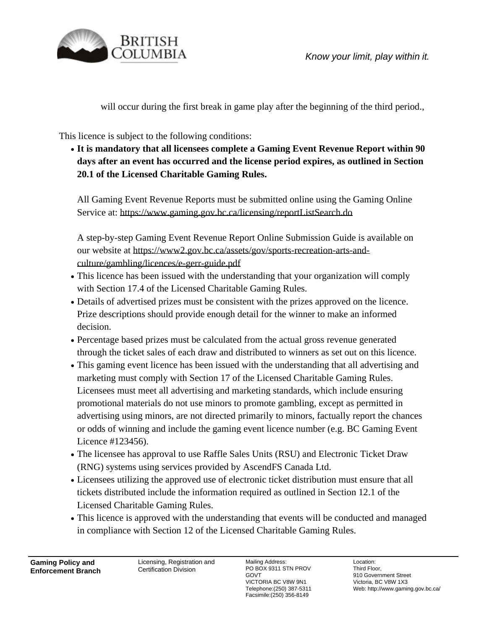

will occur during the first break in game play after the beginning of the third period.

This licence is subject to the following conditions:

**It is mandatory that all licensees complete a Gaming Event Revenue Report within 90** ● **days after an event has occurred and the license period expires, as outlined in Section 20.1 of the Licensed Charitable Gaming Rules.**

All Gaming Event Revenue Reports must be submitted online using the Gaming Online Service at: https://www.gaming.gov.bc.ca/licensing/reportListSearch.do

A step-by-step Gaming Event Revenue Report Online Submission Guide is available on our website at https://www2.gov.bc.ca/assets/gov/sports-recreation-arts-andculture/gambling/licences/e-gerr-guide.pdf

- This licence has been issued with the understanding that your organization will comply with Section 17.4 of the Licensed Charitable Gaming Rules.
- Details of advertised prizes must be consistent with the prizes approved on the licence. Prize descriptions should provide enough detail for the winner to make an informed decision.
- Percentage based prizes must be calculated from the actual gross revenue generated through the ticket sales of each draw and distributed to winners as set out on this licence.
- This gaming event licence has been issued with the understanding that all advertising and marketing must comply with Section 17 of the Licensed Charitable Gaming Rules. Licensees must meet all advertising and marketing standards, which include ensuring promotional materials do not use minors to promote gambling, except as permitted in advertising using minors, are not directed primarily to minors, factually report the chances or odds of winning and include the gaming event licence number (e.g. BC Gaming Event Licence #123456).
- The licensee has approval to use Raffle Sales Units (RSU) and Electronic Ticket Draw (RNG) systems using services provided by AscendFS Canada Ltd.
- Licensees utilizing the approved use of electronic ticket distribution must ensure that all tickets distributed include the information required as outlined in Section 12.1 of the Licensed Charitable Gaming Rules.
- This licence is approved with the understanding that events will be conducted and managed in compliance with Section 12 of the Licensed Charitable Gaming Rules.